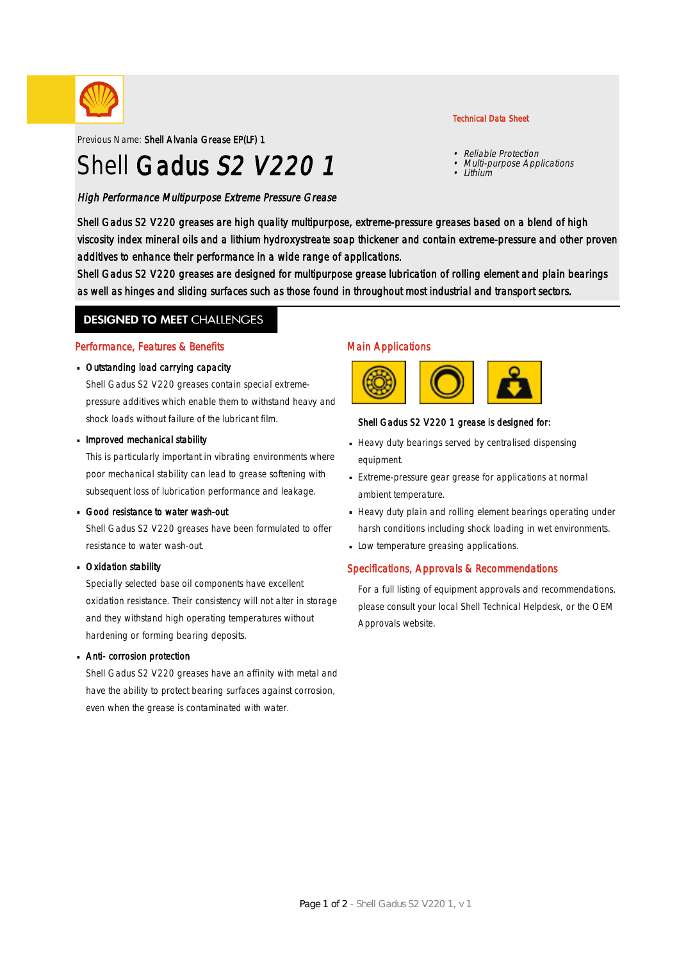

Previous Name: Shell Alvania Grease EP(LF) 1

# Shell Gadus S2 V220 1

High Performance Multipurpose Extreme Pressure Grease

#### Technical Data Sheet

- Reliable Protection
- •Multi-purpose Applications
- Lithium

Shell Gadus S2 V220 greases are high quality multipurpose, extreme-pressure greases based on a blend of high viscosity index mineral oils and a lithium hydroxystreate soap thickener and contain extreme-pressure and other proven additives to enhance their performance in a wide range of applications.

Shell Gadus S2 V220 greases are designed for multipurpose grease lubrication of rolling element and plain bearings as well as hinges and sliding surfaces such as those found in throughout most industrial and transport sectors.

### **DESIGNED TO MEET CHALLENGES**

#### Performance, Features & Benefits

#### Outstanding load carrying capacity ·

Shell Gadus S2 V220 greases contain special extremepressure additives which enable them to withstand heavy and shock loads without failure of the lubricant film.

#### **Improved mechanical stability**

This is particularly important in vibrating environments where poor mechanical stability can lead to grease softening with subsequent loss of lubrication performance and leakage.

#### Good resistance to water wash-out

Shell Gadus S2 V220 greases have been formulated to offer resistance to water wash-out.

#### Oxidation stability ·

Specially selected base oil components have excellent oxidation resistance. Their consistency will not alter in storage and they withstand high operating temperatures without hardening or forming bearing deposits.

#### Anti- corrosion protection ·

Shell Gadus S2 V220 greases have an affinity with metal and have the ability to protect bearing surfaces against corrosion, even when the grease is contaminated with water.

#### Main Applications



#### Shell Gadus S2 V220 1 grease is designed for:

- Heavy duty bearings served by centralised dispensing equipment.
- Extreme-pressure gear grease for applications at normal · ambient temperature.
- Heavy duty plain and rolling element bearings operating under harsh conditions including shock loading in wet environments.
- **Low temperature greasing applications.**

#### Specifications, Approvals & Recommendations

For a full listing of equipment approvals and recommendations, please consult your local Shell Technical Helpdesk, or the OEM Approvals website.